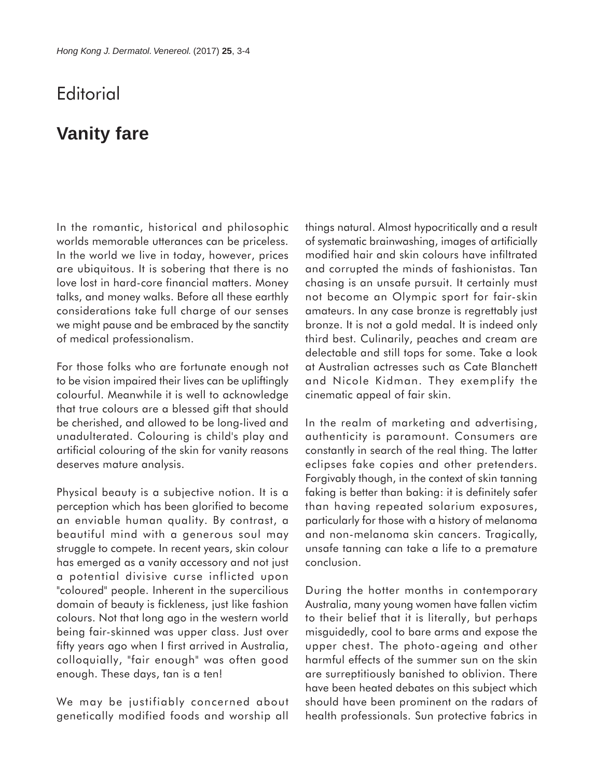## **Editorial**

## **Vanity fare**

In the romantic, historical and philosophic worlds memorable utterances can be priceless. In the world we live in today, however, prices are ubiquitous. It is sobering that there is no love lost in hard-core financial matters. Money talks, and money walks. Before all these earthly considerations take full charge of our senses we might pause and be embraced by the sanctity of medical professionalism.

For those folks who are fortunate enough not to be vision impaired their lives can be upliftingly colourful. Meanwhile it is well to acknowledge that true colours are a blessed gift that should be cherished, and allowed to be long-lived and unadulterated. Colouring is child's play and artificial colouring of the skin for vanity reasons deserves mature analysis.

Physical beauty is a subjective notion. It is a perception which has been glorified to become an enviable human quality. By contrast, a beautiful mind with a generous soul may struggle to compete. In recent years, skin colour has emerged as a vanity accessory and not just a potential divisive curse inflicted upon "coloured" people. Inherent in the supercilious domain of beauty is fickleness, just like fashion colours. Not that long ago in the western world being fair-skinned was upper class. Just over fifty years ago when I first arrived in Australia, colloquially, "fair enough" was often good enough. These days, tan is a ten!

We may be justifiably concerned about genetically modified foods and worship all things natural. Almost hypocritically and a result of systematic brainwashing, images of artificially modified hair and skin colours have infiltrated and corrupted the minds of fashionistas. Tan chasing is an unsafe pursuit. It certainly must not become an Olympic sport for fair-skin amateurs. In any case bronze is regrettably just bronze. It is not a gold medal. It is indeed only third best. Culinarily, peaches and cream are delectable and still tops for some. Take a look at Australian actresses such as Cate Blanchett and Nicole Kidman. They exemplify the cinematic appeal of fair skin.

In the realm of marketing and advertising, authenticity is paramount. Consumers are constantly in search of the real thing. The latter eclipses fake copies and other pretenders. Forgivably though, in the context of skin tanning faking is better than baking: it is definitely safer than having repeated solarium exposures, particularly for those with a history of melanoma and non-melanoma skin cancers. Tragically, unsafe tanning can take a life to a premature conclusion.

During the hotter months in contemporary Australia, many young women have fallen victim to their belief that it is literally, but perhaps misguidedly, cool to bare arms and expose the upper chest. The photo-ageing and other harmful effects of the summer sun on the skin are surreptitiously banished to oblivion. There have been heated debates on this subject which should have been prominent on the radars of health professionals. Sun protective fabrics in